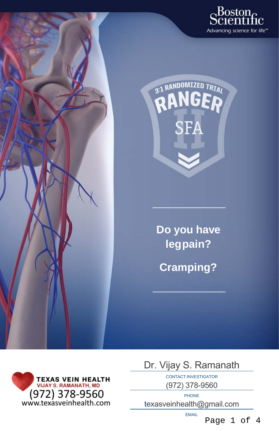



**Do you have legpain?**

**Cramping?**



Dr. Vijay S. Ramanath

CONTACT INVESTIGATOR (972) 378-9560

PHONE texasveinhealth@gmail.com

EMAIL

Page 1 of 4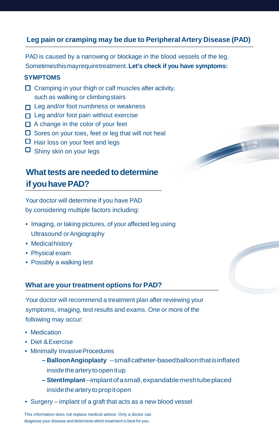### **Leg pain or cramping may be due to Peripheral Artery Disease (PAD)**

PAD is caused by a narrowing or blockage in the blood vessels of the leg. Sometimesthismay require treatment. **Let's check if you have symptoms:**

#### **SYMPTOMS**

- $\Box$  Cramping in your thigh or calf muscles after activity, such as walking or climbing stairs
- $\Box$  Leg and/or foot numbness or weakness
- $\Box$  Leg and/or foot pain without exercise
- $\Box$  A change in the color of your feet
- $\Box$  Sores on your toes, feet or leg that will not heal
- $\Box$  Hair loss on your feet and legs
- $\Box$  Shiny skin on your legs

# **What tests are needed to determine if** you have PAD?

Your doctor will determine if you have PAD by considering multiple factors including:

- Imaging, or taking pictures, of your affected leg using Ultrasound orAngiography
- Medical history
- Physical exam
- Possibly a walking test

### **What are your treatment options for PAD?**

Your doctor will recommend a treatment plan after reviewing your symptoms, imaging, test results and exams. One or more of the following may occur:

- Medication
- Diet & Exercise
- Minimally Invasive Procedures
	- **BalloonAngioplasty** smallcatheter-basedballoonthatisinflated inside the artery to open it up
	- **StentImplant** implantof a small,expandablemeshtubeplaced insidethearteryto prop itopen
- Surgery implant of a graft that acts as a new blood vessel

This information does not replace medical advice. Only a doctor can diagnose your disease and determine which treatment is best for you.

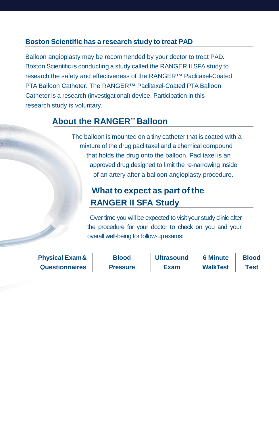### **Boston Scientific has a research study to treat PAD**

Balloon angioplasty may be recommended by your doctor to treat PAD. Boston Scientific is conducting a study called the RANGER II SFA study to research the safety and effectiveness of the RANGER™ Paclitaxel-Coated PTA Balloon Catheter. The RANGER™ Paclitaxel-Coated PTA Balloon Catheter is a research (investigational) device. Participation in this research study is voluntary.

### **About the RANGER™ Balloon**

The balloon is mounted on a tiny catheter that is coated with a mixture of the drug paclitaxel and a chemical compound that holds the drug onto the balloon. Paclitaxel is an approved drug designed to limit the re-narrowing inside of an artery after a balloon angioplasty procedure.

## **What to expect as part of the RANGER II SFA Study**

Over time you will be expected to visit your study clinic after the procedure for your doctor to check on you and your overall well-being for follow-upexams:

**Physical Exam & Questionnaires**

**Blood Pressure**  **Ultrasound Exam**

**6 Minute WalkTest Blood Test**